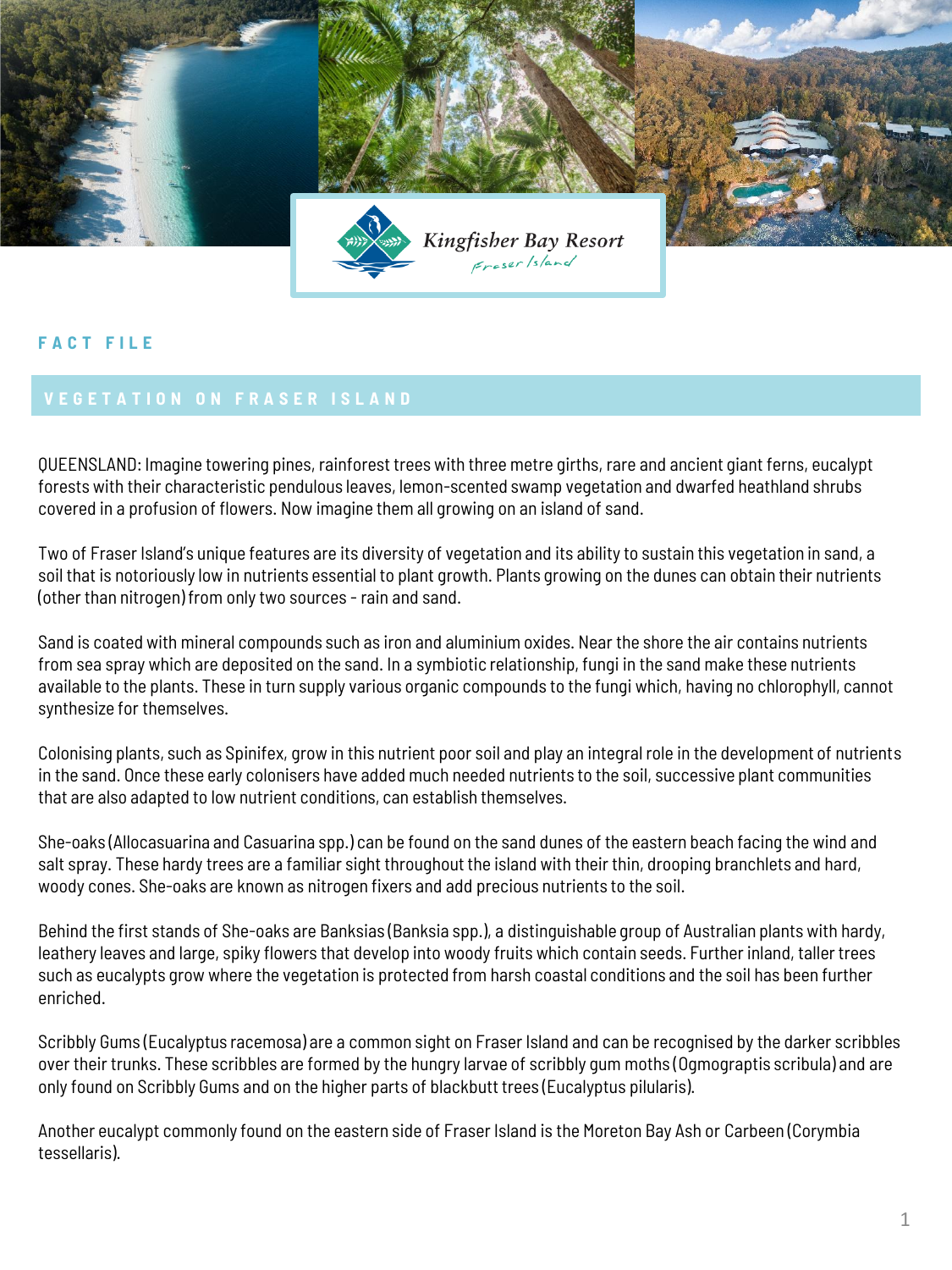

## **F A C T F I L E**

QUEENSLAND: Imagine towering pines, rainforest trees with three metre girths, rare and ancient giant ferns, eucalypt forests with their characteristic pendulous leaves, lemon-scented swamp vegetation and dwarfed heathland shrubs covered in a profusion of flowers. Now imagine them all growing on an island of sand.

Two of Fraser Island's unique features are its diversity of vegetation and its ability to sustain this vegetation in sand, a soil that is notoriously low in nutrients essential to plant growth. Plants growing on the dunes can obtain their nutrients (other than nitrogen) from only two sources - rain and sand.

Sand is coated with mineral compounds such as iron and aluminium oxides. Near the shore the air contains nutrients from sea spray which are deposited on the sand. In a symbiotic relationship, fungi in the sand make these nutrients available to the plants. These in turn supply various organic compounds to the fungi which, having no chlorophyll, cannot synthesize for themselves.

Colonising plants, such as Spinifex, grow in this nutrient poor soil and play an integral role in the development of nutrients in the sand. Once these early colonisers have added much needed nutrients to the soil, successive plant communities that are also adapted to low nutrient conditions, can establish themselves.

She-oaks (Allocasuarina and Casuarina spp.) can be found on the sand dunes of the eastern beach facing the wind and salt spray. These hardy trees are a familiar sight throughout the island with their thin, drooping branchlets and hard, woody cones. She-oaks are known as nitrogen fixers and add precious nutrients to the soil.

Behind the first stands of She-oaks are Banksias (Banksia spp.), a distinguishable group of Australian plants with hardy, leathery leaves and large, spiky flowers that develop into woody fruits which contain seeds. Further inland, taller trees such as eucalypts grow where the vegetation is protected from harsh coastal conditions and the soil has been further enriched.

Scribbly Gums (Eucalyptus racemosa) are a common sight on Fraser Island and can be recognised by the darker scribbles over their trunks. These scribbles are formed by the hungry larvae of scribbly gum moths (Ogmograptis scribula) and are only found on Scribbly Gums and on the higher parts of blackbutt trees (Eucalyptus pilularis).

Another eucalypt commonly found on the eastern side of Fraser Island is the Moreton Bay Ash or Carbeen (Corymbia tessellaris).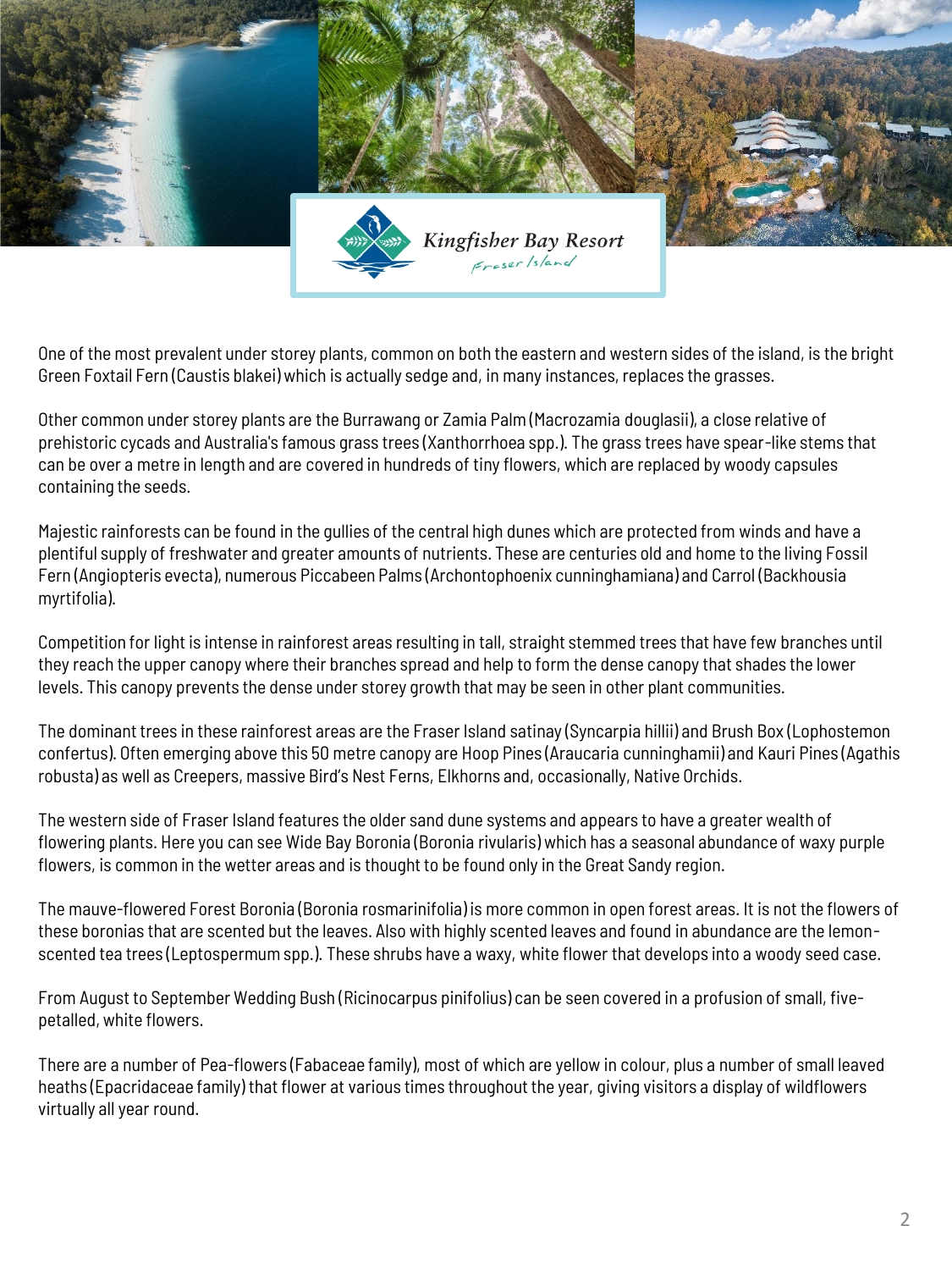

One of the most prevalent under storey plants, common on both the eastern and western sides of the island, is the bright Green Foxtail Fern (Caustis blakei) which is actually sedge and, in many instances, replaces the grasses.

Other common under storey plants are the Burrawang or Zamia Palm (Macrozamia douglasii), a close relative of prehistoric cycads and Australia's famous grass trees (Xanthorrhoea spp.). The grass trees have spear-like stems that can be over a metre in length and are covered in hundreds of tiny flowers, which are replaced by woody capsules containing the seeds.

Majestic rainforests can be found in the gullies of the central high dunes which are protected from winds and have a plentiful supply of freshwater and greater amounts of nutrients. These are centuries old and home to the living Fossil Fern (Angiopteris evecta), numerous Piccabeen Palms (Archontophoenix cunninghamiana) and Carrol (Backhousia myrtifolia).

Competition for light is intense in rainforest areas resulting in tall, straight stemmed trees that have few branches until they reach the upper canopy where their branches spread and help to form the dense canopy that shades the lower levels. This canopy prevents the dense under storey growth that may be seen in other plant communities.

The dominant trees in these rainforest areas are the Fraser Island satinay (Syncarpia hillii) and Brush Box (Lophostemon confertus). Often emerging above this 50 metre canopy are Hoop Pines (Araucaria cunninghamii) and Kauri Pines (Agathis robusta) as well as Creepers, massive Bird's Nest Ferns, Elkhorns and, occasionally, Native Orchids.

The western side of Fraser Island features the older sand dune systems and appears to have a greater wealth of flowering plants. Here you can see Wide Bay Boronia (Boronia rivularis) which has a seasonal abundance of waxy purple flowers, is common in the wetter areas and is thought to be found only in the Great Sandy region.

The mauve-flowered Forest Boronia (Boronia rosmarinifolia) is more common in open forest areas. It is not the flowers of these boronias that are scented but the leaves. Also with highly scented leaves and found in abundance are the lemonscented tea trees (Leptospermum spp.). These shrubs have a waxy, white flower that develops into a woody seed case.

From August to September Wedding Bush (Ricinocarpus pinifolius) can be seen covered in a profusion of small, fivepetalled, white flowers.

There are a number of Pea-flowers (Fabaceae family), most of which are yellow in colour, plus a number of small leaved heaths (Epacridaceae family) that flower at various times throughout the year, giving visitors a display of wildflowers virtually all year round.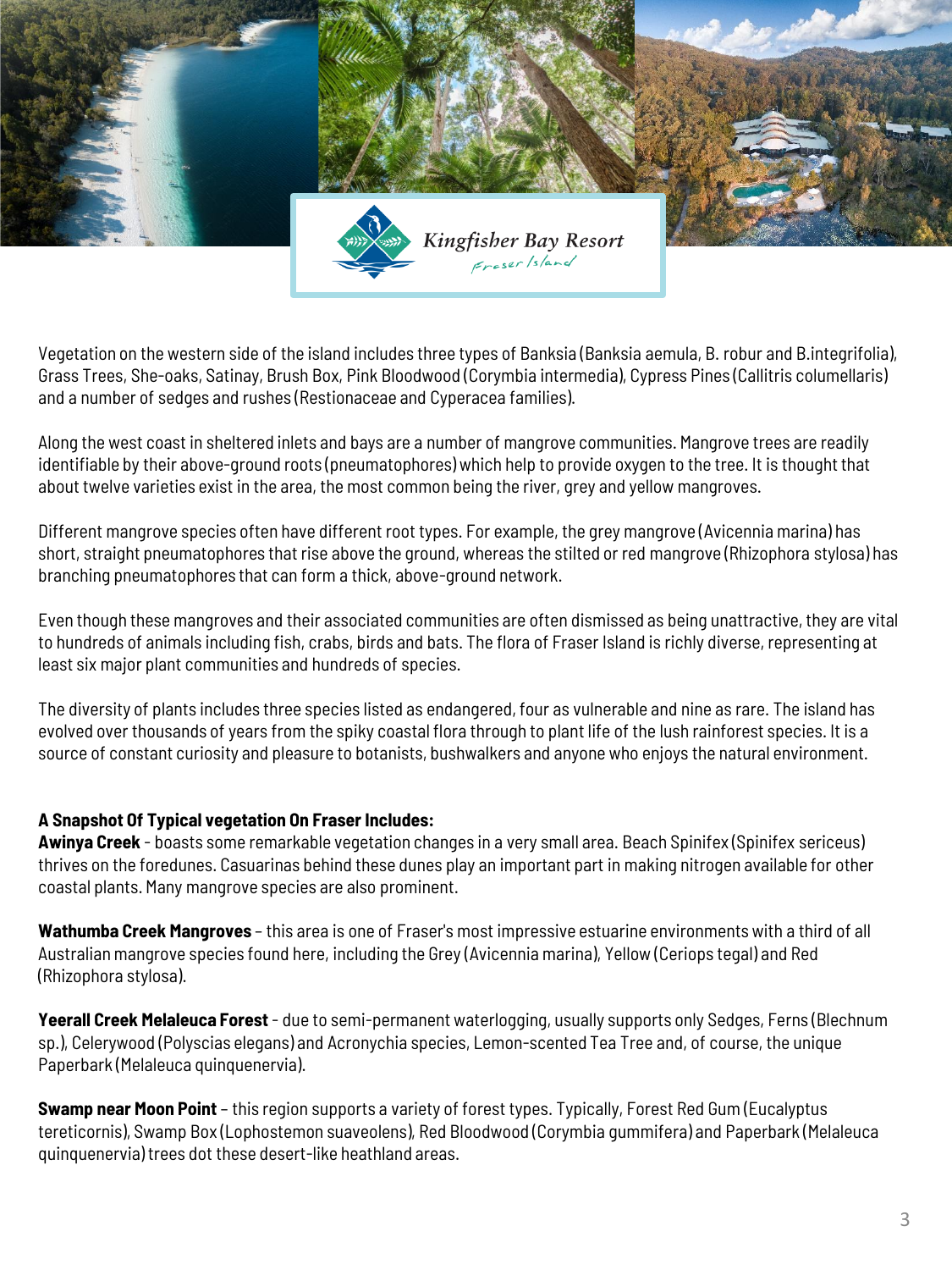

Vegetation on the western side of the island includes three types of Banksia (Banksia aemula, B. robur and B.integrifolia), Grass Trees, She-oaks, Satinay, Brush Box, Pink Bloodwood (Corymbia intermedia), Cypress Pines (Callitris columellaris) and a number of sedges and rushes (Restionaceae and Cyperacea families).

Along the west coast in sheltered inlets and bays are a number of mangrove communities. Mangrove trees are readily identifiable by their above-ground roots (pneumatophores) which help to provide oxygen to the tree. It is thought that about twelve varieties exist in the area, the most common being the river, grey and yellow mangroves.

Different mangrove species often have different root types. For example, the grey mangrove (Avicennia marina) has short, straight pneumatophores that rise above the ground, whereas the stilted or red mangrove (Rhizophora stylosa) has branching pneumatophores that can form a thick, above-ground network.

Even though these mangroves and their associated communities are often dismissed as being unattractive, they are vital to hundreds of animals including fish, crabs, birds and bats. The flora of Fraser Island is richly diverse, representing at least six major plant communities and hundreds of species.

The diversity of plants includes three species listed as endangered, four as vulnerable and nine as rare. The island has evolved over thousands of years from the spiky coastal flora through to plant life of the lush rainforest species. It is a source of constant curiosity and pleasure to botanists, bushwalkers and anyone who enjoys the natural environment.

## **A Snapshot Of Typical vegetation On Fraser Includes:**

**Awinya Creek** - boasts some remarkable vegetation changes in a very small area. Beach Spinifex (Spinifex sericeus) thrives on the foredunes. Casuarinas behind these dunes play an important part in making nitrogen available for other coastal plants. Many mangrove species are also prominent.

**Wathumba Creek Mangroves** – this area is one of Fraser's most impressive estuarine environments with a third of all Australian mangrove species found here, including the Grey (Avicennia marina), Yellow (Ceriops tegal) and Red (Rhizophora stylosa).

**Yeerall Creek Melaleuca Forest** - due to semi-permanent waterlogging, usually supports only Sedges, Ferns (Blechnum sp.), Celerywood (Polyscias elegans) and Acronychia species, Lemon-scented Tea Tree and, of course, the unique Paperbark (Melaleuca quinquenervia).

**Swamp near Moon Point** – this region supports a variety of forest types. Typically, Forest Red Gum (Eucalyptus tereticornis), Swamp Box (Lophostemon suaveolens), Red Bloodwood (Corymbia gummifera) and Paperbark (Melaleuca quinquenervia) trees dot these desert-like heathland areas.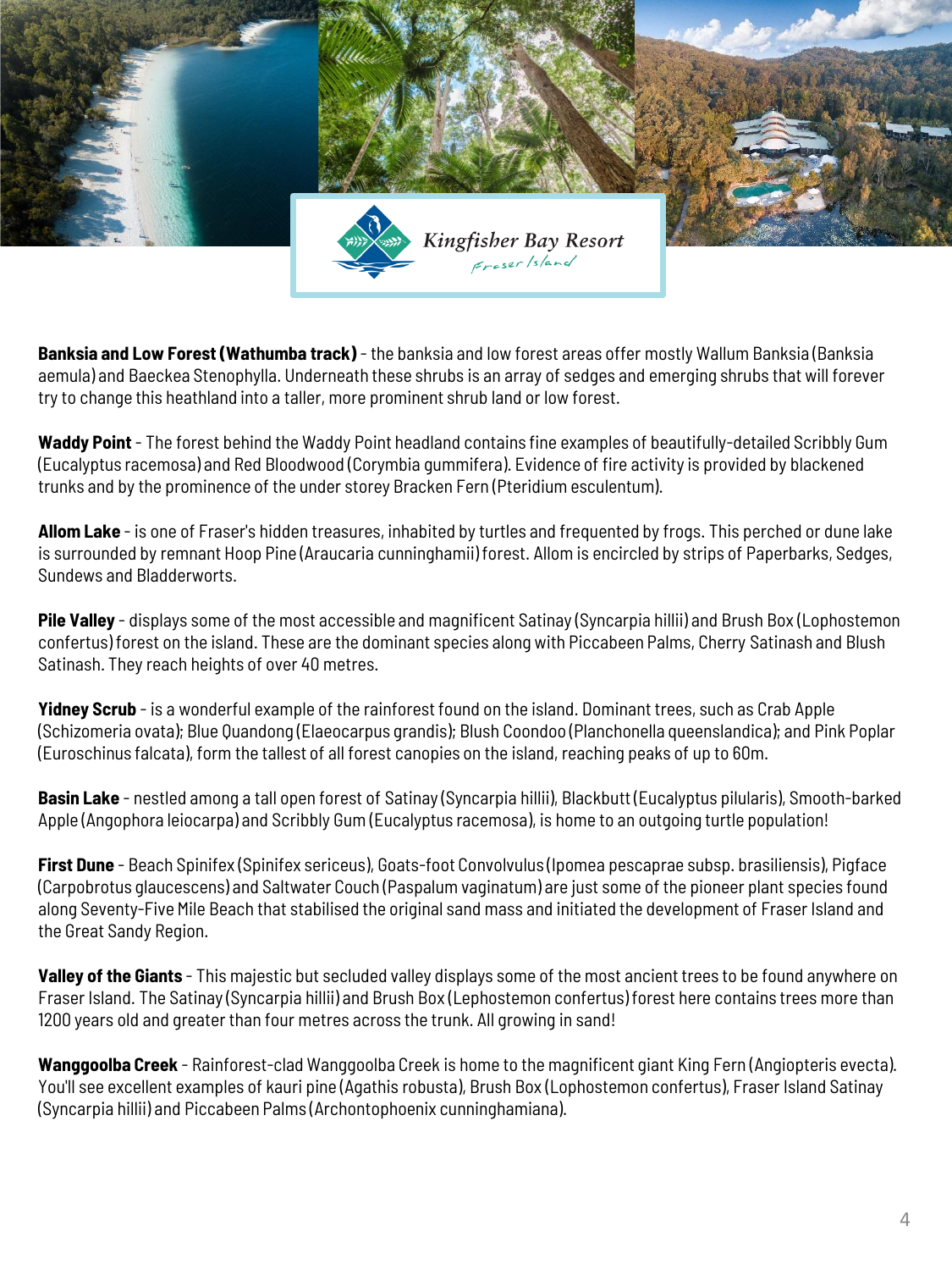

**Banksia and Low Forest (Wathumba track)** - the banksia and low forest areas offer mostly Wallum Banksia (Banksia aemula) and Baeckea Stenophylla. Underneath these shrubs is an array of sedges and emerging shrubs that will forever try to change this heathland into a taller, more prominent shrub land or low forest.

**Waddy Point** - The forest behind the Waddy Point headland contains fine examples of beautifully-detailed Scribbly Gum (Eucalyptus racemosa) and Red Bloodwood (Corymbia gummifera). Evidence of fire activity is provided by blackened trunks and by the prominence of the under storey Bracken Fern (Pteridium esculentum).

**Allom Lake** - is one of Fraser's hidden treasures, inhabited by turtles and frequented by frogs. This perched or dune lake is surrounded by remnant Hoop Pine (Araucaria cunninghamii) forest. Allom is encircled by strips of Paperbarks, Sedges, Sundews and Bladderworts.

**Pile Valley** - displays some of the most accessible and magnificent Satinay (Syncarpia hillii) and Brush Box (Lophostemon confertus) forest on the island. These are the dominant species along with Piccabeen Palms, Cherry Satinash and Blush Satinash. They reach heights of over 40 metres.

**Yidney Scrub** - is a wonderful example of the rainforest found on the island. Dominant trees, such as Crab Apple (Schizomeria ovata); Blue Quandong (Elaeocarpus grandis); Blush Coondoo (Planchonella queenslandica); and Pink Poplar (Euroschinus falcata), form the tallest of all forest canopies on the island, reaching peaks of up to 60m.

**Basin Lake** - nestled among a tall open forest of Satinay (Syncarpia hillii), Blackbutt (Eucalyptus pilularis), Smooth-barked Apple (Angophora leiocarpa) and Scribbly Gum (Eucalyptus racemosa), is home to an outgoing turtle population!

**First Dune** - Beach Spinifex (Spinifex sericeus), Goats-foot Convolvulus (Ipomea pescaprae subsp. brasiliensis), Pigface (Carpobrotus glaucescens) and Saltwater Couch (Paspalum vaginatum) are just some of the pioneer plant species found along Seventy-Five Mile Beach that stabilised the original sand mass and initiated the development of Fraser Island and the Great Sandy Region.

**Valley of the Giants** - This majestic but secluded valley displays some of the most ancient trees to be found anywhere on Fraser Island. The Satinay (Syncarpia hillii) and Brush Box (Lephostemon confertus) forest here contains trees more than 1200 years old and greater than four metres across the trunk. All growing in sand!

**Wanggoolba Creek** - Rainforest-clad Wanggoolba Creek is home to the magnificent giant King Fern (Angiopteris evecta). You'll see excellent examples of kauri pine (Agathis robusta), Brush Box (Lophostemon confertus), Fraser Island Satinay (Syncarpia hillii) and Piccabeen Palms (Archontophoenix cunninghamiana).